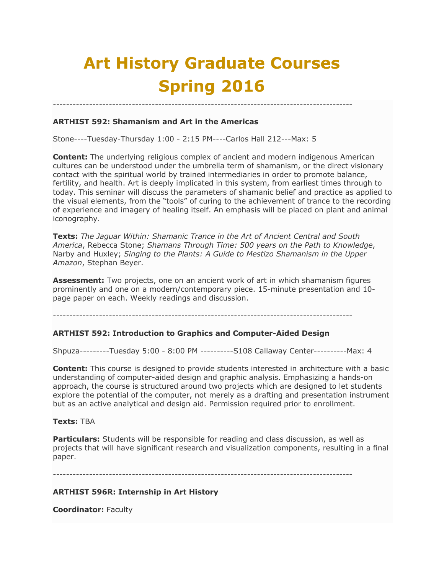# **Art History Graduate Courses Spring 2016**

-------------------------------------------------------------------------------------------

# **ARTHIST 592: Shamanism and Art in the Americas**

Stone----Tuesday-Thursday 1:00 - 2:15 PM----Carlos Hall 212---Max: 5

**Content:** The underlying religious complex of ancient and modern indigenous American cultures can be understood under the umbrella term of shamanism, or the direct visionary contact with the spiritual world by trained intermediaries in order to promote balance, fertility, and health. Art is deeply implicated in this system, from earliest times through to today. This seminar will discuss the parameters of shamanic belief and practice as applied to the visual elements, from the "tools" of curing to the achievement of trance to the recording of experience and imagery of healing itself. An emphasis will be placed on plant and animal iconography.

**Texts:** *The Jaguar Within: Shamanic Trance in the Art of Ancient Central and South America*, Rebecca Stone; *Shamans Through Time: 500 years on the Path to Knowledge*, Narby and Huxley; *Singing to the Plants: A Guide to Mestizo Shamanism in the Upper Amazon*, Stephan Beyer.

**Assessment:** Two projects, one on an ancient work of art in which shamanism figures prominently and one on a modern/contemporary piece. 15-minute presentation and 10 page paper on each. Weekly readings and discussion.

-------------------------------------------------------------------------------------------

## **ARTHIST 592: Introduction to Graphics and Computer-Aided Design**

Shpuza---------Tuesday 5:00 - 8:00 PM ----------S108 Callaway Center----------Max: 4

**Content:** This course is designed to provide students interested in architecture with a basic understanding of computer-aided design and graphic analysis. Emphasizing a hands-on approach, the course is structured around two projects which are designed to let students explore the potential of the computer, not merely as a drafting and presentation instrument but as an active analytical and design aid. Permission required prior to enrollment.

## **Texts:** TBA

**Particulars:** Students will be responsible for reading and class discussion, as well as projects that will have significant research and visualization components, resulting in a final paper.

-------------------------------------------------------------------------------------------

## **ARTHIST 596R: Internship in Art History**

**Coordinator:** Faculty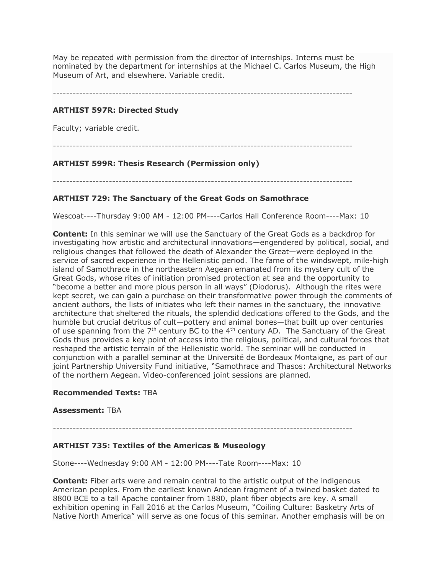May be repeated with permission from the director of internships. Interns must be nominated by the department for internships at the Michael C. Carlos Museum, the High Museum of Art, and elsewhere. Variable credit.

-------------------------------------------------------------------------------------------

# **ARTHIST 597R: Directed Study**

Faculty; variable credit.

-------------------------------------------------------------------------------------------

# **ARTHIST 599R: Thesis Research (Permission only)**

-------------------------------------------------------------------------------------------

## **ARTHIST 729: The Sanctuary of the Great Gods on Samothrace**

Wescoat----Thursday 9:00 AM - 12:00 PM----Carlos Hall Conference Room----Max: 10

**Content:** In this seminar we will use the Sanctuary of the Great Gods as a backdrop for investigating how artistic and architectural innovations—engendered by political, social, and religious changes that followed the death of Alexander the Great—were deployed in the service of sacred experience in the Hellenistic period. The fame of the windswept, mile-high island of Samothrace in the northeastern Aegean emanated from its mystery cult of the Great Gods, whose rites of initiation promised protection at sea and the opportunity to "become a better and more pious person in all ways" (Diodorus). Although the rites were kept secret, we can gain a purchase on their transformative power through the comments of ancient authors, the lists of initiates who left their names in the sanctuary, the innovative architecture that sheltered the rituals, the splendid dedications offered to the Gods, and the humble but crucial detritus of cult—pottery and animal bones—that built up over centuries of use spanning from the  $7<sup>th</sup>$  century BC to the 4<sup>th</sup> century AD. The Sanctuary of the Great Gods thus provides a key point of access into the religious, political, and cultural forces that reshaped the artistic terrain of the Hellenistic world. The seminar will be conducted in conjunction with a parallel seminar at the Université de Bordeaux Montaigne, as part of our joint Partnership University Fund initiative, "Samothrace and Thasos: Architectural Networks of the northern Aegean. Video-conferenced joint sessions are planned.

## **Recommended Texts:** TBA

## **Assessment:** TBA

-------------------------------------------------------------------------------------------

## **ARTHIST 735: Textiles of the Americas & Museology**

Stone----Wednesday 9:00 AM - 12:00 PM----Tate Room----Max: 10

**Content:** Fiber arts were and remain central to the artistic output of the indigenous American peoples. From the earliest known Andean fragment of a twined basket dated to 8800 BCE to a tall Apache container from 1880, plant fiber objects are key. A small exhibition opening in Fall 2016 at the Carlos Museum, "Coiling Culture: Basketry Arts of Native North America" will serve as one focus of this seminar. Another emphasis will be on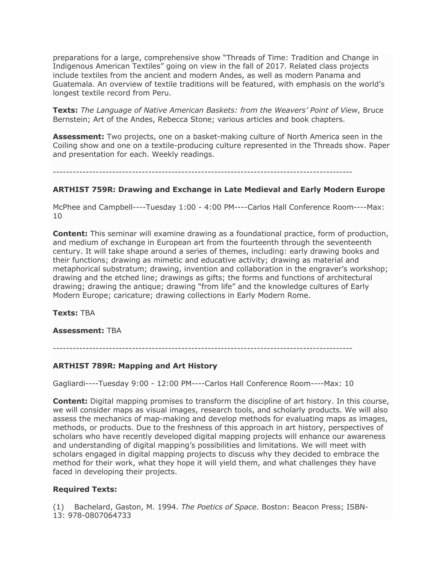preparations for a large, comprehensive show "Threads of Time: Tradition and Change in Indigenous American Textiles" going on view in the fall of 2017. Related class projects include textiles from the ancient and modern Andes, as well as modern Panama and Guatemala. An overview of textile traditions will be featured, with emphasis on the world's longest textile record from Peru.

**Texts:** *The Language of Native American Baskets: from the Weavers' Point of View*, Bruce Bernstein; Art of the Andes, Rebecca Stone; various articles and book chapters.

**Assessment:** Two projects, one on a basket-making culture of North America seen in the Coiling show and one on a textile-producing culture represented in the Threads show. Paper and presentation for each. Weekly readings.

-------------------------------------------------------------------------------------------

## **ARTHIST 759R: Drawing and Exchange in Late Medieval and Early Modern Europe**

McPhee and Campbell----Tuesday 1:00 - 4:00 PM----Carlos Hall Conference Room----Max: 10

**Content:** This seminar will examine drawing as a foundational practice, form of production, and medium of exchange in European art from the fourteenth through the seventeenth century. It will take shape around a series of themes, including: early drawing books and their functions; drawing as mimetic and educative activity; drawing as material and metaphorical substratum; drawing, invention and collaboration in the engraver's workshop; drawing and the etched line; drawings as gifts; the forms and functions of architectural drawing; drawing the antique; drawing "from life" and the knowledge cultures of Early Modern Europe; caricature; drawing collections in Early Modern Rome.

**Texts:** TBA

## **Assessment:** TBA

-------------------------------------------------------------------------------------------

## **ARTHIST 789R: Mapping and Art History**

Gagliardi----Tuesday 9:00 - 12:00 PM----Carlos Hall Conference Room----Max: 10

**Content:** Digital mapping promises to transform the discipline of art history. In this course, we will consider maps as visual images, research tools, and scholarly products. We will also assess the mechanics of map-making and develop methods for evaluating maps as images, methods, or products. Due to the freshness of this approach in art history, perspectives of scholars who have recently developed digital mapping projects will enhance our awareness and understanding of digital mapping's possibilities and limitations. We will meet with scholars engaged in digital mapping projects to discuss why they decided to embrace the method for their work, what they hope it will yield them, and what challenges they have faced in developing their projects.

## **Required Texts:**

(1) Bachelard, Gaston, M. 1994. *The Poetics of Space*. Boston: Beacon Press; ISBN-13: 978-0807064733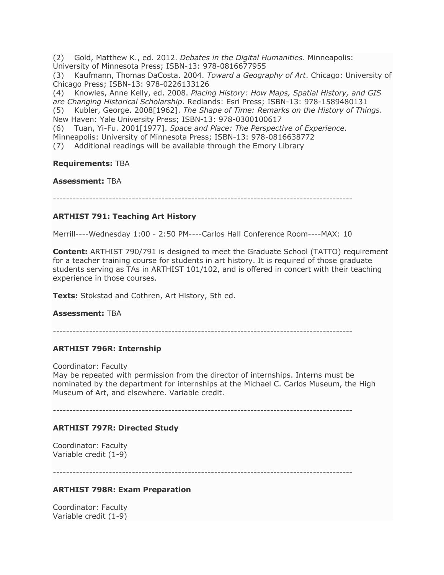(2) Gold, Matthew K., ed. 2012. *Debates in the Digital Humanities*. Minneapolis: University of Minnesota Press; ISBN-13: 978-0816677955 (3) Kaufmann, Thomas DaCosta. 2004. *Toward a Geography of Art*. Chicago: University of Chicago Press; ISBN-13: 978-0226133126 (4) Knowles, Anne Kelly, ed. 2008. *Placing History: How Maps, Spatial History, and GIS are Changing Historical Scholarship*. Redlands: Esri Press; ISBN-13: 978-1589480131 (5) Kubler, George. 2008[1962]. *The Shape of Time: Remarks on the History of Things*. New Haven: Yale University Press; ISBN-13: 978-0300100617 (6) Tuan, Yi-Fu. 2001[1977]. *Space and Place: The Perspective of Experience*. Minneapolis: University of Minnesota Press; ISBN-13: 978-0816638772 (7) Additional readings will be available through the Emory Library

**Requirements:** TBA

**Assessment:** TBA

-------------------------------------------------------------------------------------------

# **ARTHIST 791: Teaching Art History**

Merrill----Wednesday 1:00 - 2:50 PM----Carlos Hall Conference Room----MAX: 10

**Content:** ARTHIST 790/791 is designed to meet the Graduate School (TATTO) requirement for a teacher training course for students in art history. It is required of those graduate students serving as TAs in ARTHIST 101/102, and is offered in concert with their teaching experience in those courses.

**Texts:** Stokstad and Cothren, Art History, 5th ed.

**Assessment:** TBA

-------------------------------------------------------------------------------------------

# **ARTHIST 796R: Internship**

Coordinator: Faculty

May be repeated with permission from the director of internships. Interns must be nominated by the department for internships at the Michael C. Carlos Museum, the High Museum of Art, and elsewhere. Variable credit.

-------------------------------------------------------------------------------------------

# **ARTHIST 797R: Directed Study**

Coordinator: Faculty Variable credit (1-9)

-------------------------------------------------------------------------------------------

## **ARTHIST 798R: Exam Preparation**

Coordinator: Faculty Variable credit (1-9)